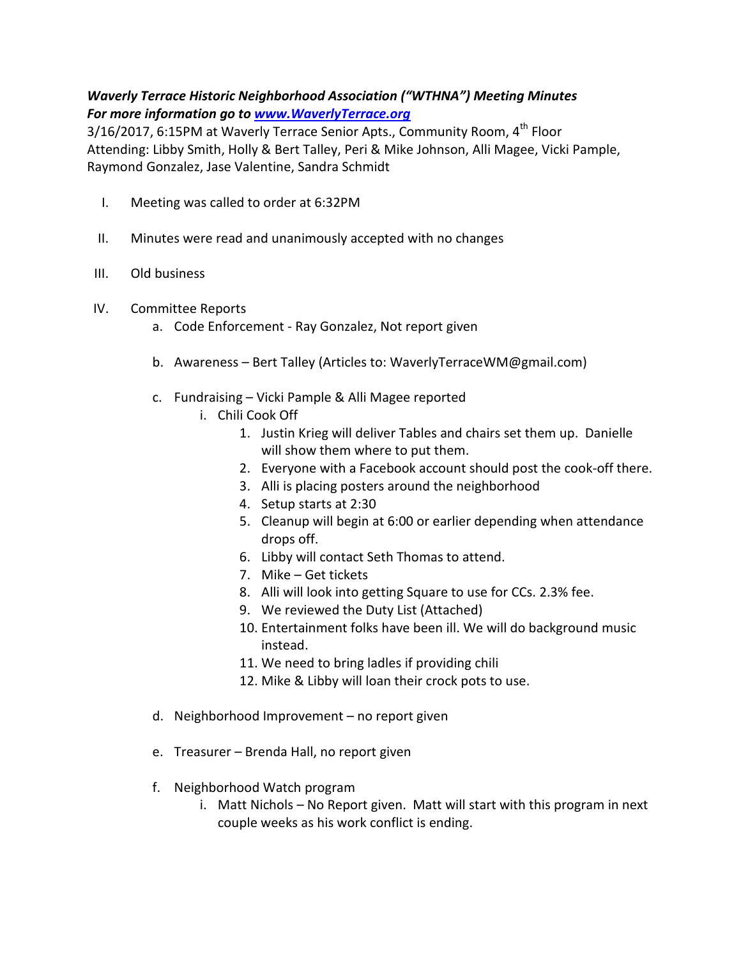## Waverly Terrace Historic Neighborhood Association ("WTHNA") Meeting Minutes For more information go to www.WaverlyTerrace.org

3/16/2017, 6:15PM at Waverly Terrace Senior Apts., Community Room, 4<sup>th</sup> Floor Attending: Libby Smith, Holly & Bert Talley, Peri & Mike Johnson, Alli Magee, Vicki Pample, Raymond Gonzalez, Jase Valentine, Sandra Schmidt

- I. Meeting was called to order at 6:32PM
- II. Minutes were read and unanimously accepted with no changes
- III. Old business
- IV. Committee Reports
	- a. Code Enforcement Ray Gonzalez, Not report given
	- b. Awareness Bert Talley (Articles to: WaverlyTerraceWM@gmail.com)
	- c. Fundraising Vicki Pample & Alli Magee reported
		- i. Chili Cook Off
			- 1. Justin Krieg will deliver Tables and chairs set them up. Danielle will show them where to put them.
			- 2. Everyone with a Facebook account should post the cook-off there.
			- 3. Alli is placing posters around the neighborhood
			- 4. Setup starts at 2:30
			- 5. Cleanup will begin at 6:00 or earlier depending when attendance drops off.
			- 6. Libby will contact Seth Thomas to attend.
			- 7. Mike Get tickets
			- 8. Alli will look into getting Square to use for CCs. 2.3% fee.
			- 9. We reviewed the Duty List (Attached)
			- 10. Entertainment folks have been ill. We will do background music instead.
			- 11. We need to bring ladles if providing chili
			- 12. Mike & Libby will loan their crock pots to use.
	- d. Neighborhood Improvement no report given
	- e. Treasurer Brenda Hall, no report given
	- f. Neighborhood Watch program
		- i. Matt Nichols No Report given. Matt will start with this program in next couple weeks as his work conflict is ending.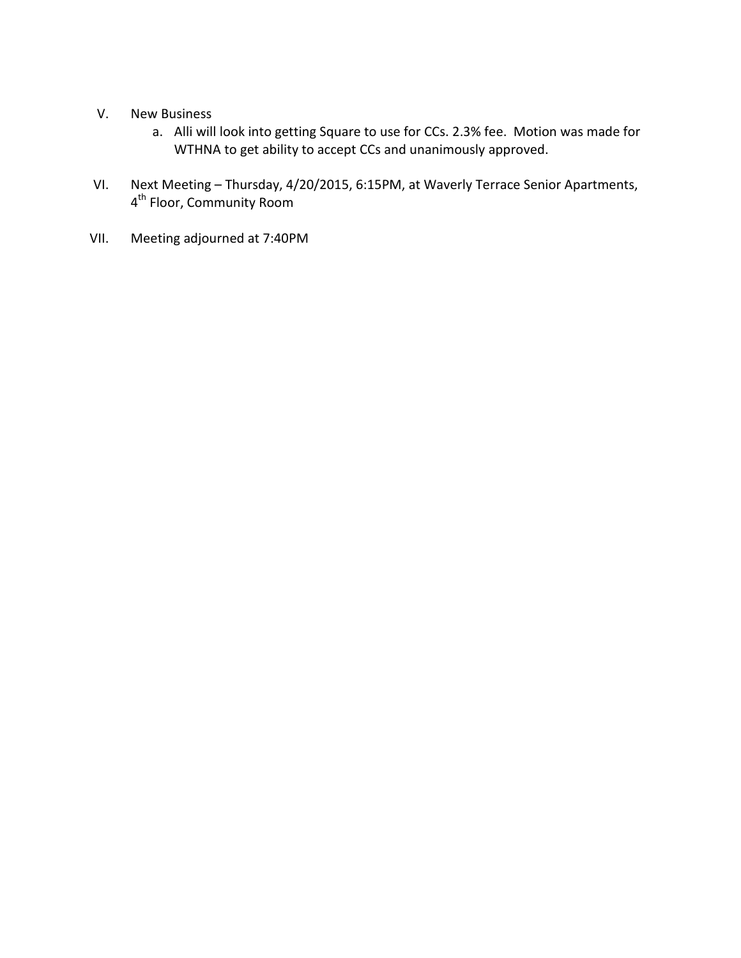- V. New Business
	- a. Alli will look into getting Square to use for CCs. 2.3% fee. Motion was made for WTHNA to get ability to accept CCs and unanimously approved.
- VI. Next Meeting Thursday, 4/20/2015, 6:15PM, at Waverly Terrace Senior Apartments, 4<sup>th</sup> Floor, Community Room
- VII. Meeting adjourned at 7:40PM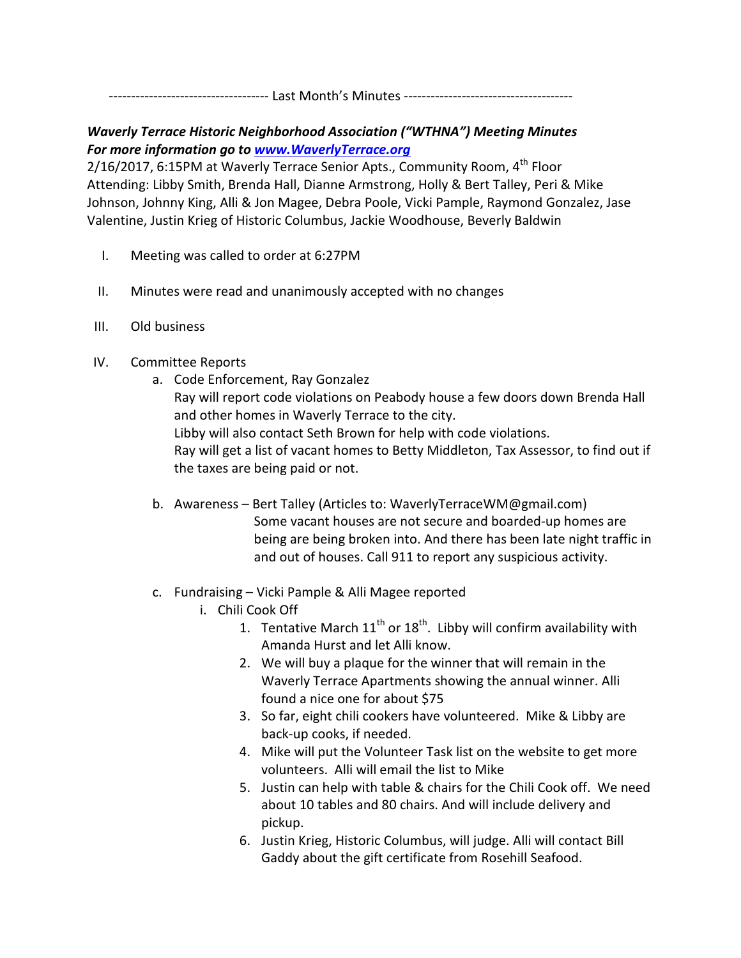------------------------------------ Last Month's Minutes --------------------------------------

## Waverly Terrace Historic Neighborhood Association ("WTHNA") Meeting Minutes For more information go to www.WaverlyTerrace.org

2/16/2017, 6:15PM at Waverly Terrace Senior Apts., Community Room, 4<sup>th</sup> Floor Attending: Libby Smith, Brenda Hall, Dianne Armstrong, Holly & Bert Talley, Peri & Mike Johnson, Johnny King, Alli & Jon Magee, Debra Poole, Vicki Pample, Raymond Gonzalez, Jase Valentine, Justin Krieg of Historic Columbus, Jackie Woodhouse, Beverly Baldwin

- I. Meeting was called to order at 6:27PM
- II. Minutes were read and unanimously accepted with no changes
- III. Old business
- IV. Committee Reports
	- a. Code Enforcement, Ray Gonzalez Ray will report code violations on Peabody house a few doors down Brenda Hall and other homes in Waverly Terrace to the city. Libby will also contact Seth Brown for help with code violations. Ray will get a list of vacant homes to Betty Middleton, Tax Assessor, to find out if the taxes are being paid or not.
	- b. Awareness Bert Talley (Articles to: WaverlyTerraceWM@gmail.com) Some vacant houses are not secure and boarded-up homes are being are being broken into. And there has been late night traffic in and out of houses. Call 911 to report any suspicious activity.
	- c. Fundraising Vicki Pample & Alli Magee reported
		- i. Chili Cook Off
			- 1. Tentative March  $11^{th}$  or  $18^{th}$ . Libby will confirm availability with Amanda Hurst and let Alli know.
			- 2. We will buy a plaque for the winner that will remain in the Waverly Terrace Apartments showing the annual winner. Alli found a nice one for about \$75
			- 3. So far, eight chili cookers have volunteered. Mike & Libby are back-up cooks, if needed.
			- 4. Mike will put the Volunteer Task list on the website to get more volunteers. Alli will email the list to Mike
			- 5. Justin can help with table & chairs for the Chili Cook off. We need about 10 tables and 80 chairs. And will include delivery and pickup.
			- 6. Justin Krieg, Historic Columbus, will judge. Alli will contact Bill Gaddy about the gift certificate from Rosehill Seafood.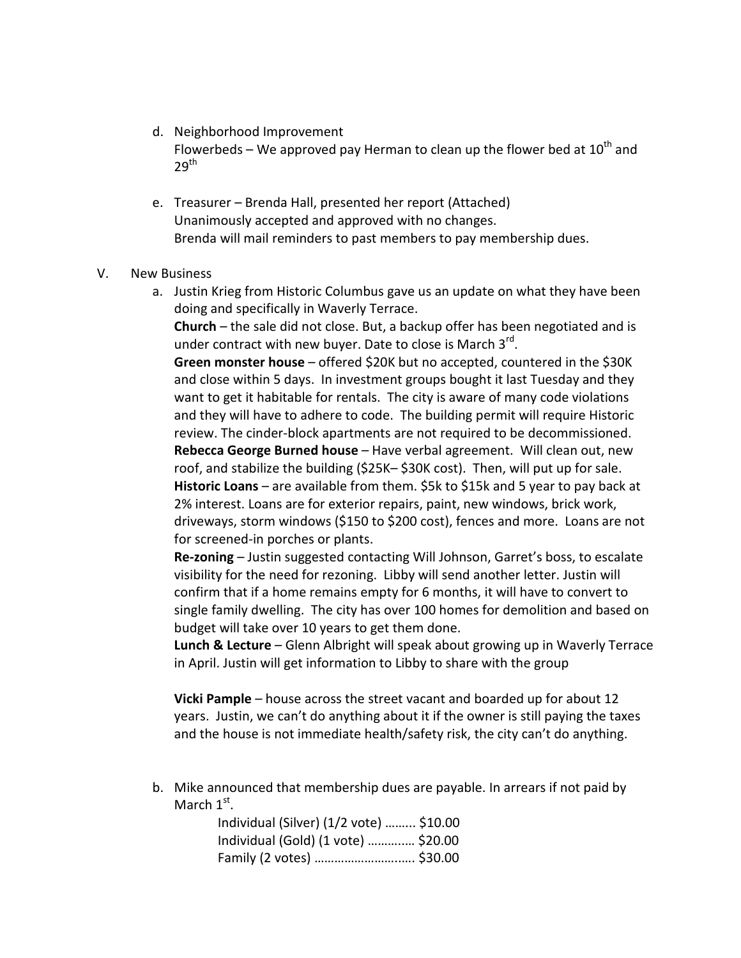## d. Neighborhood Improvement

Flowerbeds – We approved pay Herman to clean up the flower bed at  $10^{th}$  and  $29^{\mathsf{th}}$ 

e. Treasurer – Brenda Hall, presented her report (Attached) Unanimously accepted and approved with no changes. Brenda will mail reminders to past members to pay membership dues.

## V. New Business

a. Justin Krieg from Historic Columbus gave us an update on what they have been doing and specifically in Waverly Terrace.

Church – the sale did not close. But, a backup offer has been negotiated and is under contract with new buyer. Date to close is March 3<sup>rd</sup>.

Green monster house – offered \$20K but no accepted, countered in the \$30K and close within 5 days. In investment groups bought it last Tuesday and they want to get it habitable for rentals. The city is aware of many code violations and they will have to adhere to code. The building permit will require Historic review. The cinder-block apartments are not required to be decommissioned. Rebecca George Burned house – Have verbal agreement. Will clean out, new roof, and stabilize the building (\$25K– \$30K cost). Then, will put up for sale. Historic Loans – are available from them. \$5k to \$15k and 5 year to pay back at 2% interest. Loans are for exterior repairs, paint, new windows, brick work, driveways, storm windows (\$150 to \$200 cost), fences and more. Loans are not for screened-in porches or plants.

Re-zoning – Justin suggested contacting Will Johnson, Garret's boss, to escalate visibility for the need for rezoning. Libby will send another letter. Justin will confirm that if a home remains empty for 6 months, it will have to convert to single family dwelling. The city has over 100 homes for demolition and based on budget will take over 10 years to get them done.

Lunch & Lecture – Glenn Albright will speak about growing up in Waverly Terrace in April. Justin will get information to Libby to share with the group

Vicki Pample – house across the street vacant and boarded up for about 12 years. Justin, we can't do anything about it if the owner is still paying the taxes and the house is not immediate health/safety risk, the city can't do anything.

b. Mike announced that membership dues are payable. In arrears if not paid by March  $1<sup>st</sup>$ .

| Individual (Silver) (1/2 vote)  \$10.00 |  |
|-----------------------------------------|--|
| Individual (Gold) (1 vote)  \$20.00     |  |
| Family (2 votes)  \$30.00               |  |